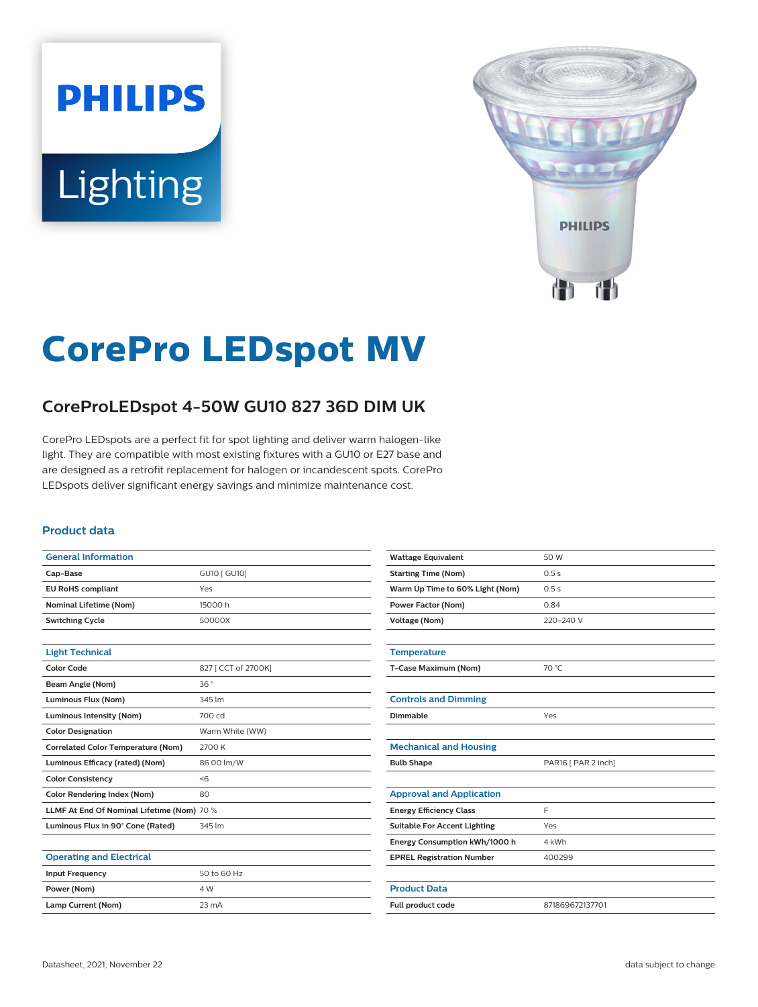# **PHILIPS** Lighting



# **CorePro LEDspot MV**

# **CoreProLEDspot 4-50W GU10 827 36D DIM UK**

CorePro LEDspots are a perfect fit for spot lighting and deliver warm halogen-like light. They are compatible with most existing fixtures with a GU10 or E27 base and are designed as a retrofit replacement for halogen or incandescent spots. CorePro LEDspots deliver significant energy savings and minimize maintenance cost.

#### **Product data**

| <b>General Information</b>                 |                     |
|--------------------------------------------|---------------------|
| Cap-Base                                   | GU10 [ GU10]        |
| <b>EU RoHS compliant</b>                   | Yes                 |
| <b>Nominal Lifetime (Nom)</b>              | 15000h              |
| <b>Switching Cycle</b>                     | 50000X              |
|                                            |                     |
| <b>Light Technical</b>                     |                     |
| <b>Color Code</b>                          | 827 [ CCT of 2700K] |
| Beam Angle (Nom)                           | 36°                 |
| Luminous Flux (Nom)                        | 345 lm              |
| <b>Luminous Intensity (Nom)</b>            | 700 cd              |
| <b>Color Designation</b>                   | Warm White (WW)     |
| <b>Correlated Color Temperature (Nom)</b>  | 2700 K              |
| Luminous Efficacy (rated) (Nom)            | 86.00 lm/W          |
| <b>Color Consistency</b>                   | < 6                 |
| <b>Color Rendering Index (Nom)</b>         | 80                  |
| LLMF At End Of Nominal Lifetime (Nom) 70 % |                     |
| Luminous Flux in 90° Cone (Rated)          | 345 lm              |
|                                            |                     |
| <b>Operating and Electrical</b>            |                     |
| <b>Input Frequency</b>                     | 50 to 60 Hz         |
| Power (Nom)                                | 4 W                 |

| <b>Wattage Equivalent</b>           | 50 W                |
|-------------------------------------|---------------------|
| <b>Starting Time (Nom)</b>          | 0.5s                |
| Warm Up Time to 60% Light (Nom)     | 0.5s                |
| <b>Power Factor (Nom)</b>           | 0.84                |
| <b>Voltage (Nom)</b>                | 220-240 V           |
|                                     |                     |
| <b>Temperature</b>                  |                     |
| T-Case Maximum (Nom)                | 70 °C               |
|                                     |                     |
| <b>Controls and Dimming</b>         |                     |
| Dimmable                            | Yes                 |
|                                     |                     |
| <b>Mechanical and Housing</b>       |                     |
| <b>Bulb Shape</b>                   | PAR16 [ PAR 2 inch] |
|                                     |                     |
| <b>Approval and Application</b>     |                     |
| <b>Energy Efficiency Class</b>      | F                   |
| <b>Suitable For Accent Lighting</b> | Yes                 |
| Energy Consumption kWh/1000 h       | 4 kWh               |
| <b>EPREL Registration Number</b>    | 400299              |
|                                     |                     |
| <b>Product Data</b>                 |                     |
| Full product code                   | 871869672137701     |
|                                     |                     |

**Lamp Current (Nom)** 23 mA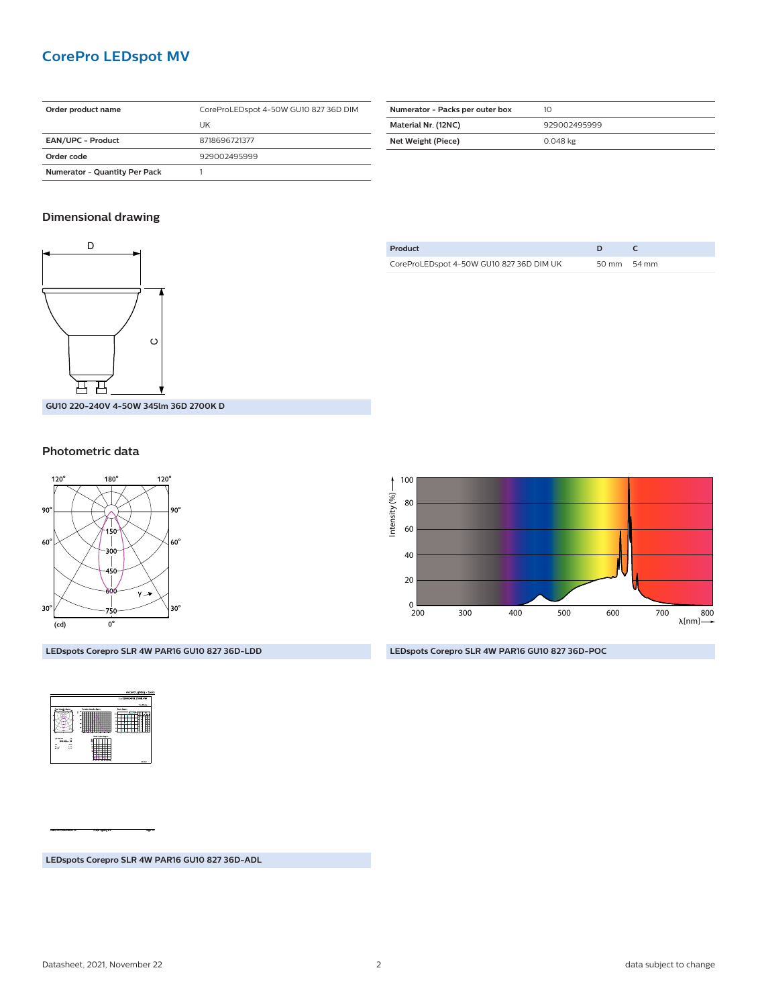# **CorePro LEDspot MV**

| Order product name                   | CoreProLEDspot 4-50W GU10 827 36D DIM |
|--------------------------------------|---------------------------------------|
|                                      | UK                                    |
| <b>EAN/UPC - Product</b>             | 8718696721377                         |
| Order code                           | 929002495999                          |
| <b>Numerator - Quantity Per Pack</b> |                                       |

| Numerator - Packs per outer box | 10           |
|---------------------------------|--------------|
| Material Nr. (12NC)             | 929002495999 |
| Net Weight (Piece)              | 0.048 kg     |

### **Dimensional drawing**



**Product D C** CoreProLEDspot 4-50W GU10 827 36D DIM UK 50 mm 54 mm

**GU10 220-240V 4-50W 345lm 36D 2700K D**

#### **Photometric data**

S

H

EN



**LEDspots Corepro SLR 4W PAR16 GU10 827 36D-LDD**



**LEDspots Corepro SLR 4W PAR16 GU10 827 36D-POC**

**LEDspots Corepro SLR 4W PAR16 GU10 827 36D-ADL**